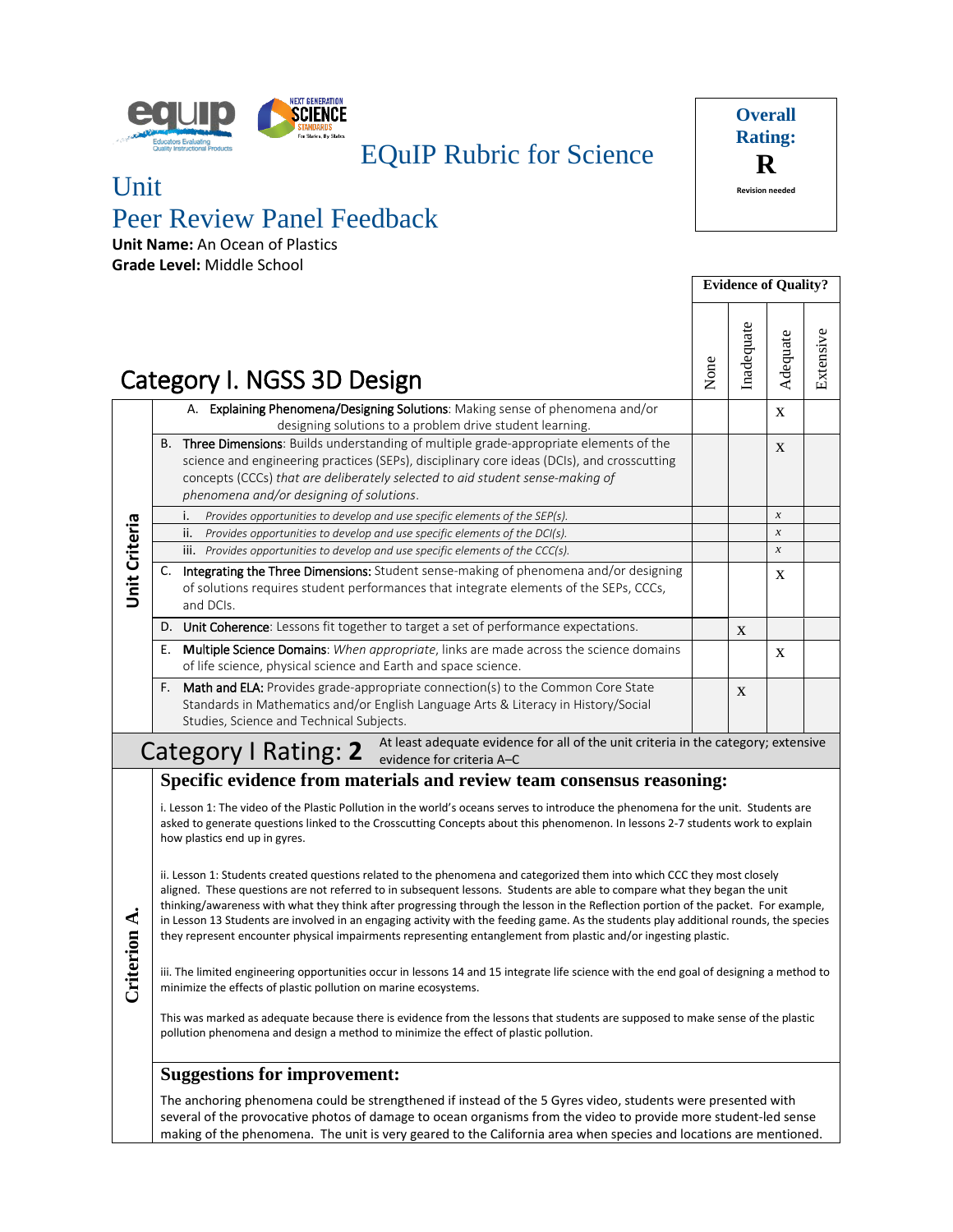

## EQuIP Rubric for Science

## Unit

# Peer Review Panel Feedback

**Unit Name:** An Ocean of Plastics **Grade Level:** Middle School



|                      |    |                                                                                                                                                                                                                                                                                                                        | <b>Evidence of Quality?</b> |              |                  |           |
|----------------------|----|------------------------------------------------------------------------------------------------------------------------------------------------------------------------------------------------------------------------------------------------------------------------------------------------------------------------|-----------------------------|--------------|------------------|-----------|
|                      |    | Category I. NGSS 3D Design                                                                                                                                                                                                                                                                                             | None                        | Inadequate   | Adequate         | Extensive |
|                      |    | A. Explaining Phenomena/Designing Solutions: Making sense of phenomena and/or<br>designing solutions to a problem drive student learning.                                                                                                                                                                              |                             |              | X                |           |
|                      | В. | <b>Three Dimensions:</b> Builds understanding of multiple grade-appropriate elements of the<br>science and engineering practices (SEPs), disciplinary core ideas (DCIs), and crosscutting<br>concepts (CCCs) that are deliberately selected to aid student sense-making of<br>phenomena and/or designing of solutions. |                             |              | $\mathbf{X}$     |           |
|                      |    | Provides opportunities to develop and use specific elements of the SEP(s).<br>۱.                                                                                                                                                                                                                                       |                             |              | $\boldsymbol{x}$ |           |
|                      |    | ii.<br>Provides opportunities to develop and use specific elements of the DCI(s).                                                                                                                                                                                                                                      |                             |              | $\boldsymbol{x}$ |           |
|                      |    | iii. Provides opportunities to develop and use specific elements of the CCC(s).                                                                                                                                                                                                                                        |                             |              | $\boldsymbol{x}$ |           |
| <b>Unit Criteria</b> | C. | Integrating the Three Dimensions: Student sense-making of phenomena and/or designing<br>of solutions requires student performances that integrate elements of the SEPs, CCCs,<br>and DCIs.                                                                                                                             |                             |              | X                |           |
|                      | D. | Unit Coherence: Lessons fit together to target a set of performance expectations.                                                                                                                                                                                                                                      |                             | $\mathbf{x}$ |                  |           |
|                      | Ε. | Multiple Science Domains: When appropriate, links are made across the science domains<br>of life science, physical science and Earth and space science.                                                                                                                                                                |                             |              | X                |           |
|                      | F. | Math and ELA: Provides grade-appropriate connection(s) to the Common Core State<br>Standards in Mathematics and/or English Language Arts & Literacy in History/Social<br>Studies, Science and Technical Subjects.                                                                                                      |                             | X            |                  |           |
|                      |    | At least adequate evidence for all of the unit criteria in the category; extensive<br><b>Category I Rating: 2</b><br>evidence for criteria A-C                                                                                                                                                                         |                             |              |                  |           |

## **Specific evidence from materials and review team consensus reasoning:**

i. Lesson 1: The video of the Plastic Pollution in the world's oceans serves to introduce the phenomena for the unit. Students are asked to generate questions linked to the Crosscutting Concepts about this phenomenon. In lessons 2-7 students work to explain how plastics end up in gyres.

ii. Lesson 1: Students created questions related to the phenomena and categorized them into which CCC they most closely aligned. These questions are not referred to in subsequent lessons. Students are able to compare what they began the unit thinking/awareness with what they think after progressing through the lesson in the Reflection portion of the packet. For example, in Lesson 13 Students are involved in an engaging activity with the feeding game. As the students play additional rounds, the species they represent encounter physical impairments representing entanglement from plastic and/or ingesting plastic.

Criterion A. **Criterion A.**

iii. The limited engineering opportunities occur in lessons 14 and 15 integrate life science with the end goal of designing a method to minimize the effects of plastic pollution on marine ecosystems.

This was marked as adequate because there is evidence from the lessons that students are supposed to make sense of the plastic pollution phenomena and design a method to minimize the effect of plastic pollution.

## **Suggestions for improvement:**

The anchoring phenomena could be strengthened if instead of the 5 Gyres video, students were presented with several of the provocative photos of damage to ocean organisms from the video to provide more student-led sense making of the phenomena. The unit is very geared to the California area when species and locations are mentioned.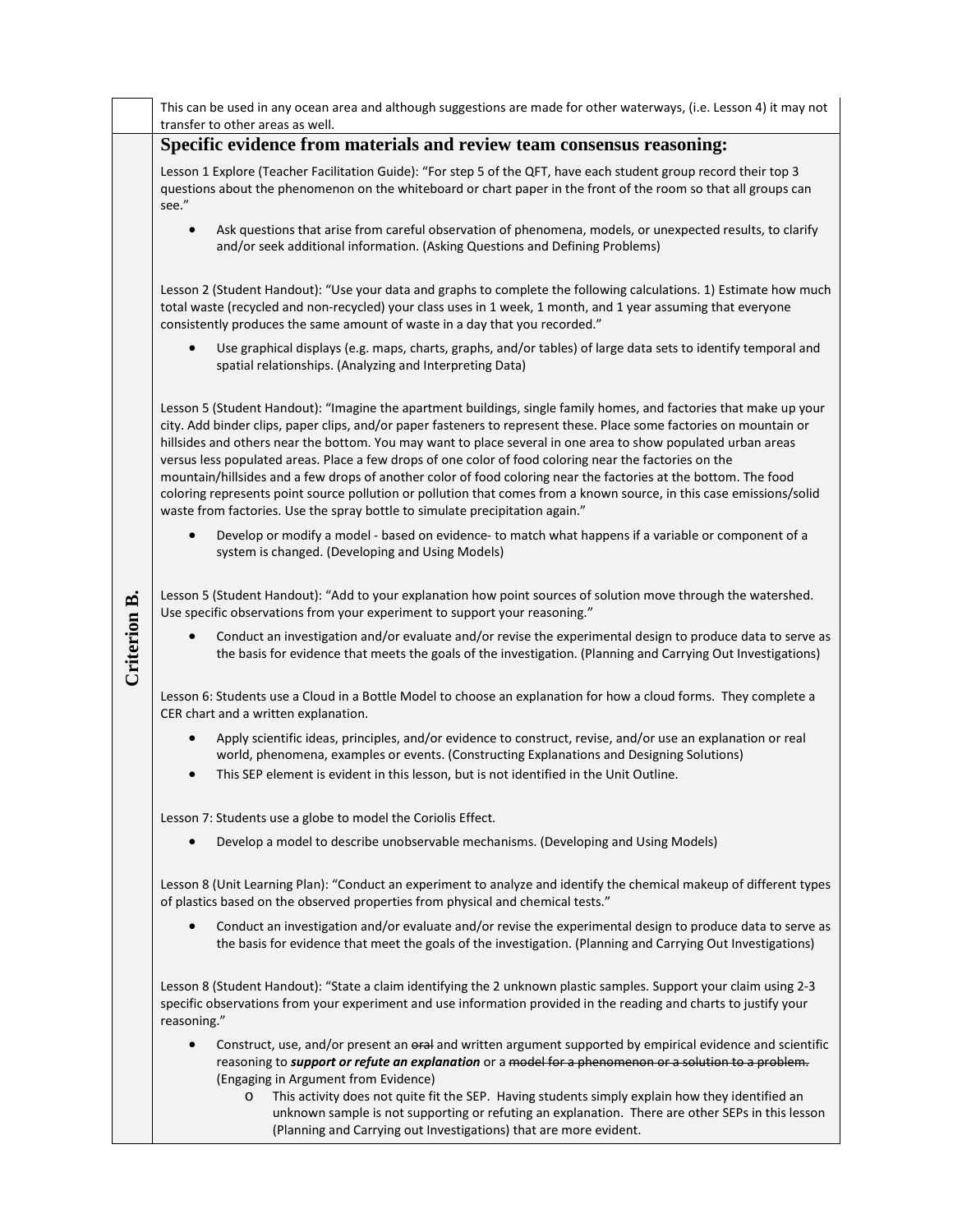|              | This can be used in any ocean area and although suggestions are made for other waterways, (i.e. Lesson 4) it may not<br>transfer to other areas as well.                                                                                                                                                                                                                                                                                                                                                                                                                                                                                                                                                                                                                                        |
|--------------|-------------------------------------------------------------------------------------------------------------------------------------------------------------------------------------------------------------------------------------------------------------------------------------------------------------------------------------------------------------------------------------------------------------------------------------------------------------------------------------------------------------------------------------------------------------------------------------------------------------------------------------------------------------------------------------------------------------------------------------------------------------------------------------------------|
|              | Specific evidence from materials and review team consensus reasoning:                                                                                                                                                                                                                                                                                                                                                                                                                                                                                                                                                                                                                                                                                                                           |
|              | Lesson 1 Explore (Teacher Facilitation Guide): "For step 5 of the QFT, have each student group record their top 3<br>questions about the phenomenon on the whiteboard or chart paper in the front of the room so that all groups can<br>see."                                                                                                                                                                                                                                                                                                                                                                                                                                                                                                                                                   |
|              | Ask questions that arise from careful observation of phenomena, models, or unexpected results, to clarify<br>$\bullet$<br>and/or seek additional information. (Asking Questions and Defining Problems)                                                                                                                                                                                                                                                                                                                                                                                                                                                                                                                                                                                          |
|              | Lesson 2 (Student Handout): "Use your data and graphs to complete the following calculations. 1) Estimate how much<br>total waste (recycled and non-recycled) your class uses in 1 week, 1 month, and 1 year assuming that everyone<br>consistently produces the same amount of waste in a day that you recorded."                                                                                                                                                                                                                                                                                                                                                                                                                                                                              |
|              | $\bullet$<br>Use graphical displays (e.g. maps, charts, graphs, and/or tables) of large data sets to identify temporal and<br>spatial relationships. (Analyzing and Interpreting Data)                                                                                                                                                                                                                                                                                                                                                                                                                                                                                                                                                                                                          |
|              | Lesson 5 (Student Handout): "Imagine the apartment buildings, single family homes, and factories that make up your<br>city. Add binder clips, paper clips, and/or paper fasteners to represent these. Place some factories on mountain or<br>hillsides and others near the bottom. You may want to place several in one area to show populated urban areas<br>versus less populated areas. Place a few drops of one color of food coloring near the factories on the<br>mountain/hillsides and a few drops of another color of food coloring near the factories at the bottom. The food<br>coloring represents point source pollution or pollution that comes from a known source, in this case emissions/solid<br>waste from factories. Use the spray bottle to simulate precipitation again." |
|              | Develop or modify a model - based on evidence- to match what happens if a variable or component of a<br>$\bullet$<br>system is changed. (Developing and Using Models)                                                                                                                                                                                                                                                                                                                                                                                                                                                                                                                                                                                                                           |
|              | Lesson 5 (Student Handout): "Add to your explanation how point sources of solution move through the watershed.<br>Use specific observations from your experiment to support your reasoning."                                                                                                                                                                                                                                                                                                                                                                                                                                                                                                                                                                                                    |
| Criterion B. | Conduct an investigation and/or evaluate and/or revise the experimental design to produce data to serve as<br>$\bullet$<br>the basis for evidence that meets the goals of the investigation. (Planning and Carrying Out Investigations)                                                                                                                                                                                                                                                                                                                                                                                                                                                                                                                                                         |
|              | Lesson 6: Students use a Cloud in a Bottle Model to choose an explanation for how a cloud forms. They complete a<br>CER chart and a written explanation.                                                                                                                                                                                                                                                                                                                                                                                                                                                                                                                                                                                                                                        |
|              | Apply scientific ideas, principles, and/or evidence to construct, revise, and/or use an explanation or real<br>world, phenomena, examples or events. (Constructing Explanations and Designing Solutions)<br>This SEP element is evident in this lesson, but is not identified in the Unit Outline.<br>$\bullet$                                                                                                                                                                                                                                                                                                                                                                                                                                                                                 |
|              | Lesson 7: Students use a globe to model the Coriolis Effect.                                                                                                                                                                                                                                                                                                                                                                                                                                                                                                                                                                                                                                                                                                                                    |
|              | Develop a model to describe unobservable mechanisms. (Developing and Using Models)                                                                                                                                                                                                                                                                                                                                                                                                                                                                                                                                                                                                                                                                                                              |
|              | Lesson 8 (Unit Learning Plan): "Conduct an experiment to analyze and identify the chemical makeup of different types<br>of plastics based on the observed properties from physical and chemical tests."                                                                                                                                                                                                                                                                                                                                                                                                                                                                                                                                                                                         |
|              | Conduct an investigation and/or evaluate and/or revise the experimental design to produce data to serve as<br>the basis for evidence that meet the goals of the investigation. (Planning and Carrying Out Investigations)                                                                                                                                                                                                                                                                                                                                                                                                                                                                                                                                                                       |
|              | Lesson 8 (Student Handout): "State a claim identifying the 2 unknown plastic samples. Support your claim using 2-3<br>specific observations from your experiment and use information provided in the reading and charts to justify your<br>reasoning."                                                                                                                                                                                                                                                                                                                                                                                                                                                                                                                                          |
|              | Construct, use, and/or present an oral and written argument supported by empirical evidence and scientific<br>$\bullet$<br>reasoning to support or refute an explanation or a model for a phenomenon or a solution to a problem.<br>(Engaging in Argument from Evidence)<br>This activity does not quite fit the SEP. Having students simply explain how they identified an<br>$\circ$                                                                                                                                                                                                                                                                                                                                                                                                          |
|              | unknown sample is not supporting or refuting an explanation. There are other SEPs in this lesson<br>(Planning and Carrying out Investigations) that are more evident.                                                                                                                                                                                                                                                                                                                                                                                                                                                                                                                                                                                                                           |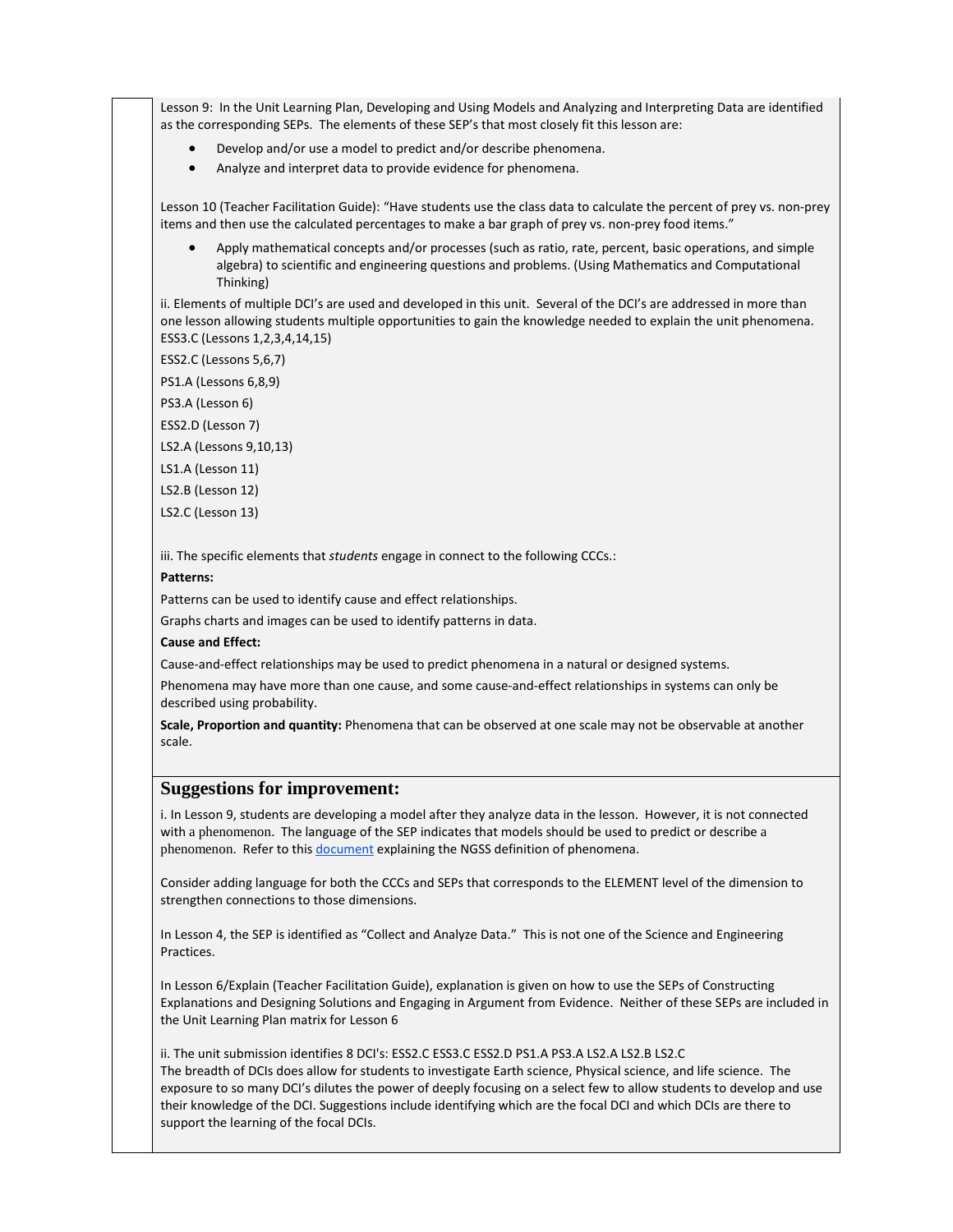Lesson 9: In the Unit Learning Plan, Developing and Using Models and Analyzing and Interpreting Data are identified as the corresponding SEPs. The elements of these SEP's that most closely fit this lesson are:

- Develop and/or use a model to predict and/or describe phenomena.
- Analyze and interpret data to provide evidence for phenomena.

Lesson 10 (Teacher Facilitation Guide): "Have students use the class data to calculate the percent of prey vs. non-prey items and then use the calculated percentages to make a bar graph of prey vs. non-prey food items."

• Apply mathematical concepts and/or processes (such as ratio, rate, percent, basic operations, and simple algebra) to scientific and engineering questions and problems. (Using Mathematics and Computational Thinking)

ii. Elements of multiple DCI's are used and developed in this unit. Several of the DCI's are addressed in more than one lesson allowing students multiple opportunities to gain the knowledge needed to explain the unit phenomena. ESS3.C (Lessons 1,2,3,4,14,15)

ESS2.C (Lessons 5,6,7)

PS1.A (Lessons 6,8,9)

PS3.A (Lesson 6)

ESS2.D (Lesson 7)

LS2.A (Lessons 9,10,13)

LS1.A (Lesson 11)

LS2.B (Lesson 12)

LS2.C (Lesson 13)

iii. The specific elements that *students* engage in connect to the following CCCs.:

#### **Patterns:**

Patterns can be used to identify cause and effect relationships.

Graphs charts and images can be used to identify patterns in data.

#### **Cause and Effect:**

Cause-and-effect relationships may be used to predict phenomena in a natural or designed systems.

Phenomena may have more than one cause, and some cause-and-effect relationships in systems can only be described using probability.

**Scale, Proportion and quantity:** Phenomena that can be observed at one scale may not be observable at another scale.

### **Suggestions for improvement:**

i. In Lesson 9, students are developing a model after they analyze data in the lesson. However, it is not connected with a phenomenon. The language of the SEP indicates that models should be used to predict or describe a phenomenon. Refer to this [document](https://www.nextgenscience.org/sites/default/files/Using%20Phenomena%20in%20NGSS.pdf) explaining the NGSS definition of phenomena.

Consider adding language for both the CCCs and SEPs that corresponds to the ELEMENT level of the dimension to strengthen connections to those dimensions.

In Lesson 4, the SEP is identified as "Collect and Analyze Data." This is not one of the Science and Engineering Practices.

In Lesson 6/Explain (Teacher Facilitation Guide), explanation is given on how to use the SEPs of Constructing Explanations and Designing Solutions and Engaging in Argument from Evidence. Neither of these SEPs are included in the Unit Learning Plan matrix for Lesson 6

ii. The unit submission identifies 8 DCI's: ESS2.C ESS3.C ESS2.D PS1.A PS3.A LS2.A LS2.B LS2.C The breadth of DCIs does allow for students to investigate Earth science, Physical science, and life science. The exposure to so many DCI's dilutes the power of deeply focusing on a select few to allow students to develop and use their knowledge of the DCI. Suggestions include identifying which are the focal DCI and which DCIs are there to support the learning of the focal DCIs.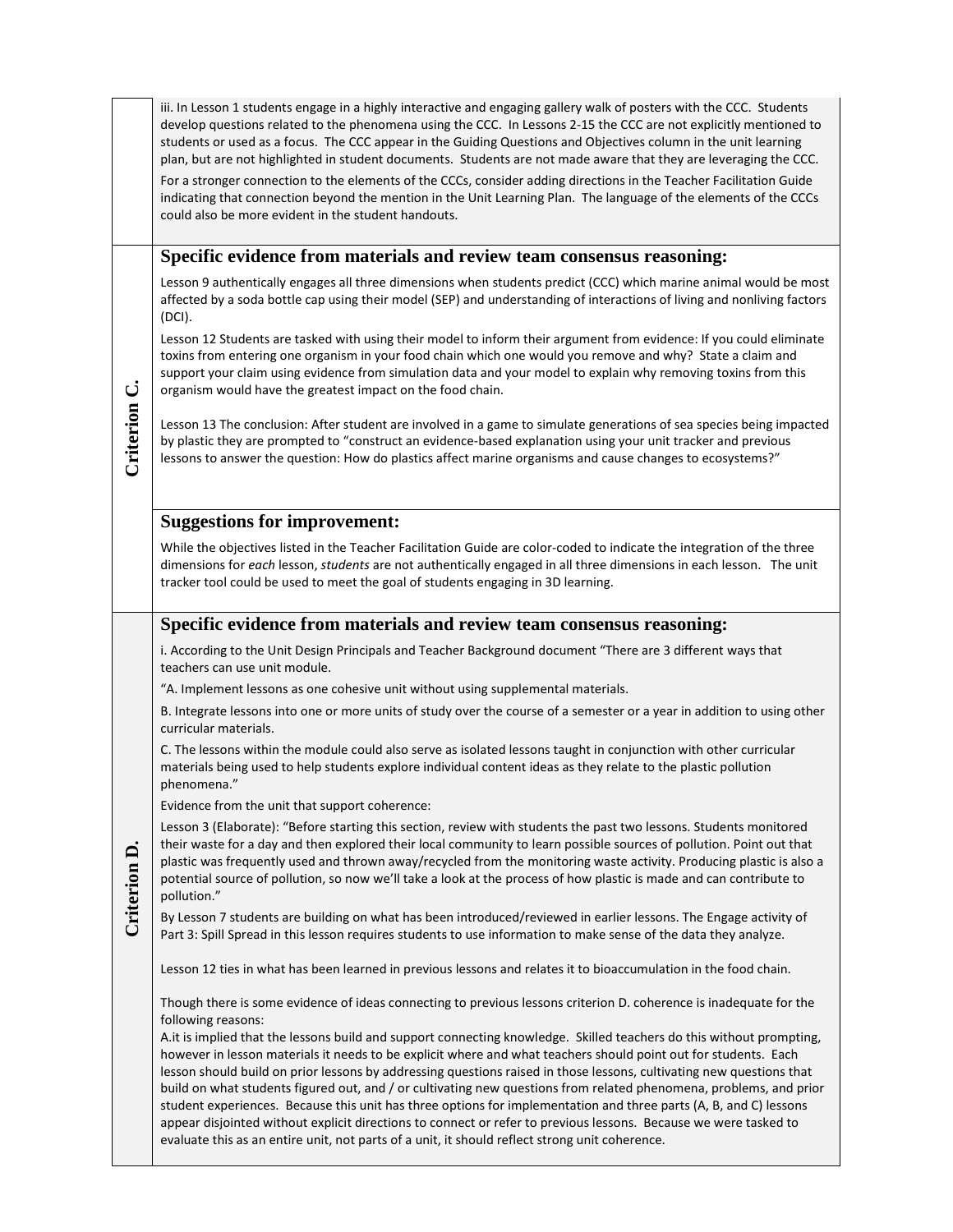|              | iii. In Lesson 1 students engage in a highly interactive and engaging gallery walk of posters with the CCC. Students<br>develop questions related to the phenomena using the CCC. In Lessons 2-15 the CCC are not explicitly mentioned to<br>students or used as a focus. The CCC appear in the Guiding Questions and Objectives column in the unit learning<br>plan, but are not highlighted in student documents. Students are not made aware that they are leveraging the CCC.                                                                                                                                                                                                                                                                                                                                                |
|--------------|----------------------------------------------------------------------------------------------------------------------------------------------------------------------------------------------------------------------------------------------------------------------------------------------------------------------------------------------------------------------------------------------------------------------------------------------------------------------------------------------------------------------------------------------------------------------------------------------------------------------------------------------------------------------------------------------------------------------------------------------------------------------------------------------------------------------------------|
|              | For a stronger connection to the elements of the CCCs, consider adding directions in the Teacher Facilitation Guide<br>indicating that connection beyond the mention in the Unit Learning Plan. The language of the elements of the CCCs<br>could also be more evident in the student handouts.                                                                                                                                                                                                                                                                                                                                                                                                                                                                                                                                  |
|              | Specific evidence from materials and review team consensus reasoning:                                                                                                                                                                                                                                                                                                                                                                                                                                                                                                                                                                                                                                                                                                                                                            |
|              | Lesson 9 authentically engages all three dimensions when students predict (CCC) which marine animal would be most<br>affected by a soda bottle cap using their model (SEP) and understanding of interactions of living and nonliving factors<br>(DCI).                                                                                                                                                                                                                                                                                                                                                                                                                                                                                                                                                                           |
|              | Lesson 12 Students are tasked with using their model to inform their argument from evidence: If you could eliminate<br>toxins from entering one organism in your food chain which one would you remove and why? State a claim and<br>support your claim using evidence from simulation data and your model to explain why removing toxins from this<br>organism would have the greatest impact on the food chain.                                                                                                                                                                                                                                                                                                                                                                                                                |
| Criterion C. | Lesson 13 The conclusion: After student are involved in a game to simulate generations of sea species being impacted<br>by plastic they are prompted to "construct an evidence-based explanation using your unit tracker and previous<br>lessons to answer the question: How do plastics affect marine organisms and cause changes to ecosystems?"                                                                                                                                                                                                                                                                                                                                                                                                                                                                               |
|              | <b>Suggestions for improvement:</b>                                                                                                                                                                                                                                                                                                                                                                                                                                                                                                                                                                                                                                                                                                                                                                                              |
|              | While the objectives listed in the Teacher Facilitation Guide are color-coded to indicate the integration of the three<br>dimensions for each lesson, students are not authentically engaged in all three dimensions in each lesson. The unit<br>tracker tool could be used to meet the goal of students engaging in 3D learning.                                                                                                                                                                                                                                                                                                                                                                                                                                                                                                |
|              | Specific evidence from materials and review team consensus reasoning:                                                                                                                                                                                                                                                                                                                                                                                                                                                                                                                                                                                                                                                                                                                                                            |
|              | i. According to the Unit Design Principals and Teacher Background document "There are 3 different ways that<br>teachers can use unit module.                                                                                                                                                                                                                                                                                                                                                                                                                                                                                                                                                                                                                                                                                     |
|              | "A. Implement lessons as one cohesive unit without using supplemental materials.                                                                                                                                                                                                                                                                                                                                                                                                                                                                                                                                                                                                                                                                                                                                                 |
|              | B. Integrate lessons into one or more units of study over the course of a semester or a year in addition to using other<br>curricular materials.                                                                                                                                                                                                                                                                                                                                                                                                                                                                                                                                                                                                                                                                                 |
|              | C. The lessons within the module could also serve as isolated lessons taught in conjunction with other curricular<br>materials being used to help students explore individual content ideas as they relate to the plastic pollution<br>phenomena."                                                                                                                                                                                                                                                                                                                                                                                                                                                                                                                                                                               |
|              | Evidence from the unit that support coherence:                                                                                                                                                                                                                                                                                                                                                                                                                                                                                                                                                                                                                                                                                                                                                                                   |
| Criterion D  | Lesson 3 (Elaborate): "Before starting this section, review with students the past two lessons. Students monitored<br>their waste for a day and then explored their local community to learn possible sources of pollution. Point out that<br>plastic was frequently used and thrown away/recycled from the monitoring waste activity. Producing plastic is also a<br>potential source of pollution, so now we'll take a look at the process of how plastic is made and can contribute to<br>pollution."                                                                                                                                                                                                                                                                                                                         |
|              | By Lesson 7 students are building on what has been introduced/reviewed in earlier lessons. The Engage activity of<br>Part 3: Spill Spread in this lesson requires students to use information to make sense of the data they analyze.                                                                                                                                                                                                                                                                                                                                                                                                                                                                                                                                                                                            |
|              | Lesson 12 ties in what has been learned in previous lessons and relates it to bioaccumulation in the food chain.                                                                                                                                                                                                                                                                                                                                                                                                                                                                                                                                                                                                                                                                                                                 |
|              | Though there is some evidence of ideas connecting to previous lessons criterion D. coherence is inadequate for the<br>following reasons:                                                                                                                                                                                                                                                                                                                                                                                                                                                                                                                                                                                                                                                                                         |
|              | A.it is implied that the lessons build and support connecting knowledge. Skilled teachers do this without prompting,<br>however in lesson materials it needs to be explicit where and what teachers should point out for students. Each<br>lesson should build on prior lessons by addressing questions raised in those lessons, cultivating new questions that<br>build on what students figured out, and / or cultivating new questions from related phenomena, problems, and prior<br>student experiences. Because this unit has three options for implementation and three parts (A, B, and C) lessons<br>appear disjointed without explicit directions to connect or refer to previous lessons. Because we were tasked to<br>evaluate this as an entire unit, not parts of a unit, it should reflect strong unit coherence. |
|              |                                                                                                                                                                                                                                                                                                                                                                                                                                                                                                                                                                                                                                                                                                                                                                                                                                  |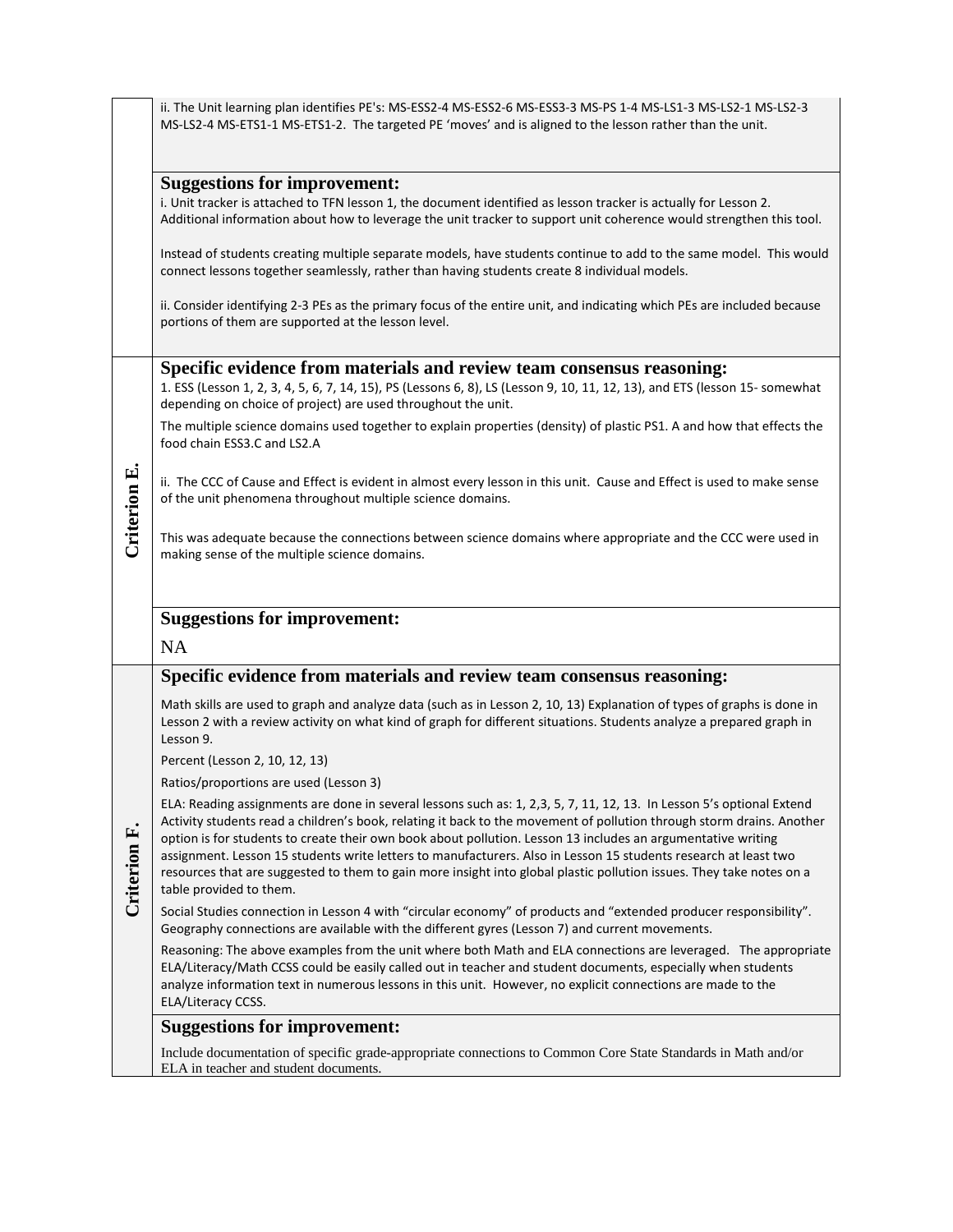|              | ii. The Unit learning plan identifies PE's: MS-ESS2-4 MS-ESS2-6 MS-ESS3-3 MS-PS 1-4 MS-LS1-3 MS-LS2-1 MS-LS2-3<br>MS-LS2-4 MS-ETS1-1 MS-ETS1-2. The targeted PE 'moves' and is aligned to the lesson rather than the unit.                                                                                                                                                                                                                                                                                                                                                                                                           |
|--------------|--------------------------------------------------------------------------------------------------------------------------------------------------------------------------------------------------------------------------------------------------------------------------------------------------------------------------------------------------------------------------------------------------------------------------------------------------------------------------------------------------------------------------------------------------------------------------------------------------------------------------------------|
|              | <b>Suggestions for improvement:</b><br>i. Unit tracker is attached to TFN lesson 1, the document identified as lesson tracker is actually for Lesson 2.<br>Additional information about how to leverage the unit tracker to support unit coherence would strengthen this tool.                                                                                                                                                                                                                                                                                                                                                       |
|              | Instead of students creating multiple separate models, have students continue to add to the same model. This would<br>connect lessons together seamlessly, rather than having students create 8 individual models.                                                                                                                                                                                                                                                                                                                                                                                                                   |
|              | ii. Consider identifying 2-3 PEs as the primary focus of the entire unit, and indicating which PEs are included because<br>portions of them are supported at the lesson level.                                                                                                                                                                                                                                                                                                                                                                                                                                                       |
|              | Specific evidence from materials and review team consensus reasoning:<br>1. ESS (Lesson 1, 2, 3, 4, 5, 6, 7, 14, 15), PS (Lessons 6, 8), LS (Lesson 9, 10, 11, 12, 13), and ETS (lesson 15-somewhat<br>depending on choice of project) are used throughout the unit.                                                                                                                                                                                                                                                                                                                                                                 |
|              | The multiple science domains used together to explain properties (density) of plastic PS1. A and how that effects the<br>food chain ESS3.C and LS2.A                                                                                                                                                                                                                                                                                                                                                                                                                                                                                 |
| Criterion E. | ii. The CCC of Cause and Effect is evident in almost every lesson in this unit. Cause and Effect is used to make sense<br>of the unit phenomena throughout multiple science domains.                                                                                                                                                                                                                                                                                                                                                                                                                                                 |
|              | This was adequate because the connections between science domains where appropriate and the CCC were used in<br>making sense of the multiple science domains.                                                                                                                                                                                                                                                                                                                                                                                                                                                                        |
|              | <b>Suggestions for improvement:</b><br><b>NA</b>                                                                                                                                                                                                                                                                                                                                                                                                                                                                                                                                                                                     |
|              | Specific evidence from materials and review team consensus reasoning:                                                                                                                                                                                                                                                                                                                                                                                                                                                                                                                                                                |
|              | Math skills are used to graph and analyze data (such as in Lesson 2, 10, 13) Explanation of types of graphs is done in<br>Lesson 2 with a review activity on what kind of graph for different situations. Students analyze a prepared graph in<br>Lesson 9.                                                                                                                                                                                                                                                                                                                                                                          |
|              | Percent (Lesson 2, 10, 12, 13)                                                                                                                                                                                                                                                                                                                                                                                                                                                                                                                                                                                                       |
|              | Ratios/proportions are used (Lesson 3)                                                                                                                                                                                                                                                                                                                                                                                                                                                                                                                                                                                               |
| Criterion F. | ELA: Reading assignments are done in several lessons such as: 1, 2,3, 5, 7, 11, 12, 13. In Lesson 5's optional Extend<br>Activity students read a children's book, relating it back to the movement of pollution through storm drains. Another<br>option is for students to create their own book about pollution. Lesson 13 includes an argumentative writing<br>assignment. Lesson 15 students write letters to manufacturers. Also in Lesson 15 students research at least two<br>resources that are suggested to them to gain more insight into global plastic pollution issues. They take notes on a<br>table provided to them. |
|              | Social Studies connection in Lesson 4 with "circular economy" of products and "extended producer responsibility".<br>Geography connections are available with the different gyres (Lesson 7) and current movements.                                                                                                                                                                                                                                                                                                                                                                                                                  |
|              | Reasoning: The above examples from the unit where both Math and ELA connections are leveraged. The appropriate<br>ELA/Literacy/Math CCSS could be easily called out in teacher and student documents, especially when students<br>analyze information text in numerous lessons in this unit. However, no explicit connections are made to the<br>ELA/Literacy CCSS.                                                                                                                                                                                                                                                                  |
|              |                                                                                                                                                                                                                                                                                                                                                                                                                                                                                                                                                                                                                                      |
|              | <b>Suggestions for improvement:</b>                                                                                                                                                                                                                                                                                                                                                                                                                                                                                                                                                                                                  |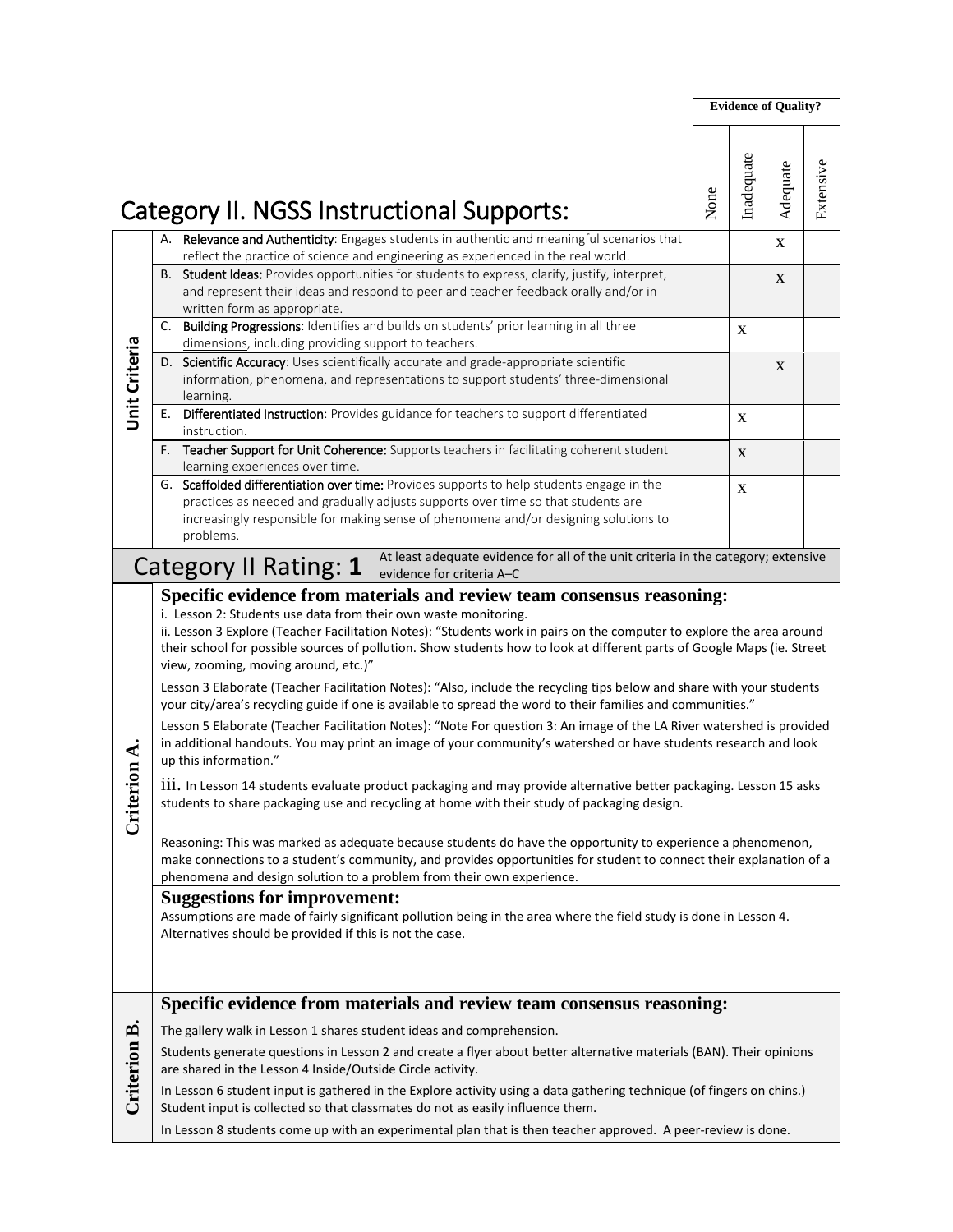|                      |                                                                                                                                                                                                                                                                                                                                                                                                                                                                                                                                                                                                                                                                                                                                                                                                                                                                                                                                                                                                                                                                                                                                                                                                                                                                                                                                                                                                                                                                                                                                                                                                                                                                                                               |      | <b>Evidence of Quality?</b> |             |           |
|----------------------|---------------------------------------------------------------------------------------------------------------------------------------------------------------------------------------------------------------------------------------------------------------------------------------------------------------------------------------------------------------------------------------------------------------------------------------------------------------------------------------------------------------------------------------------------------------------------------------------------------------------------------------------------------------------------------------------------------------------------------------------------------------------------------------------------------------------------------------------------------------------------------------------------------------------------------------------------------------------------------------------------------------------------------------------------------------------------------------------------------------------------------------------------------------------------------------------------------------------------------------------------------------------------------------------------------------------------------------------------------------------------------------------------------------------------------------------------------------------------------------------------------------------------------------------------------------------------------------------------------------------------------------------------------------------------------------------------------------|------|-----------------------------|-------------|-----------|
|                      | Category II. NGSS Instructional Supports:                                                                                                                                                                                                                                                                                                                                                                                                                                                                                                                                                                                                                                                                                                                                                                                                                                                                                                                                                                                                                                                                                                                                                                                                                                                                                                                                                                                                                                                                                                                                                                                                                                                                     | None | Inadequate                  | Adequate    | Extensive |
|                      | A. Relevance and Authenticity: Engages students in authentic and meaningful scenarios that<br>reflect the practice of science and engineering as experienced in the real world.                                                                                                                                                                                                                                                                                                                                                                                                                                                                                                                                                                                                                                                                                                                                                                                                                                                                                                                                                                                                                                                                                                                                                                                                                                                                                                                                                                                                                                                                                                                               |      |                             | $\mathbf X$ |           |
|                      | B. Student Ideas: Provides opportunities for students to express, clarify, justify, interpret,<br>and represent their ideas and respond to peer and teacher feedback orally and/or in<br>written form as appropriate.                                                                                                                                                                                                                                                                                                                                                                                                                                                                                                                                                                                                                                                                                                                                                                                                                                                                                                                                                                                                                                                                                                                                                                                                                                                                                                                                                                                                                                                                                         |      |                             | X           |           |
|                      | C. Building Progressions: Identifies and builds on students' prior learning in all three<br>dimensions, including providing support to teachers.                                                                                                                                                                                                                                                                                                                                                                                                                                                                                                                                                                                                                                                                                                                                                                                                                                                                                                                                                                                                                                                                                                                                                                                                                                                                                                                                                                                                                                                                                                                                                              |      | $\mathbf X$                 |             |           |
| <b>Unit Criteria</b> | D. Scientific Accuracy: Uses scientifically accurate and grade-appropriate scientific<br>information, phenomena, and representations to support students' three-dimensional<br>learning.                                                                                                                                                                                                                                                                                                                                                                                                                                                                                                                                                                                                                                                                                                                                                                                                                                                                                                                                                                                                                                                                                                                                                                                                                                                                                                                                                                                                                                                                                                                      |      |                             | X           |           |
|                      | Differentiated Instruction: Provides guidance for teachers to support differentiated<br>Е.<br>instruction.                                                                                                                                                                                                                                                                                                                                                                                                                                                                                                                                                                                                                                                                                                                                                                                                                                                                                                                                                                                                                                                                                                                                                                                                                                                                                                                                                                                                                                                                                                                                                                                                    |      | X                           |             |           |
|                      | Teacher Support for Unit Coherence: Supports teachers in facilitating coherent student<br>F.<br>learning experiences over time.                                                                                                                                                                                                                                                                                                                                                                                                                                                                                                                                                                                                                                                                                                                                                                                                                                                                                                                                                                                                                                                                                                                                                                                                                                                                                                                                                                                                                                                                                                                                                                               |      | X                           |             |           |
|                      | G. Scaffolded differentiation over time: Provides supports to help students engage in the<br>practices as needed and gradually adjusts supports over time so that students are<br>increasingly responsible for making sense of phenomena and/or designing solutions to<br>problems.                                                                                                                                                                                                                                                                                                                                                                                                                                                                                                                                                                                                                                                                                                                                                                                                                                                                                                                                                                                                                                                                                                                                                                                                                                                                                                                                                                                                                           |      | $\mathbf X$                 |             |           |
|                      | At least adequate evidence for all of the unit criteria in the category; extensive<br>Category II Rating: 1<br>evidence for criteria A-C                                                                                                                                                                                                                                                                                                                                                                                                                                                                                                                                                                                                                                                                                                                                                                                                                                                                                                                                                                                                                                                                                                                                                                                                                                                                                                                                                                                                                                                                                                                                                                      |      |                             |             |           |
| Criterion A.         | Specific evidence from materials and review team consensus reasoning:<br>i. Lesson 2: Students use data from their own waste monitoring.<br>ii. Lesson 3 Explore (Teacher Facilitation Notes): "Students work in pairs on the computer to explore the area around<br>their school for possible sources of pollution. Show students how to look at different parts of Google Maps (ie. Street<br>view, zooming, moving around, etc.)"<br>Lesson 3 Elaborate (Teacher Facilitation Notes): "Also, include the recycling tips below and share with your students<br>your city/area's recycling guide if one is available to spread the word to their families and communities."<br>Lesson 5 Elaborate (Teacher Facilitation Notes): "Note For question 3: An image of the LA River watershed is provided<br>in additional handouts. You may print an image of your community's watershed or have students research and look<br>up this information."<br>111. In Lesson 14 students evaluate product packaging and may provide alternative better packaging. Lesson 15 asks<br>students to share packaging use and recycling at home with their study of packaging design.<br>Reasoning: This was marked as adequate because students do have the opportunity to experience a phenomenon,<br>make connections to a student's community, and provides opportunities for student to connect their explanation of a<br>phenomena and design solution to a problem from their own experience.<br><b>Suggestions for improvement:</b><br>Assumptions are made of fairly significant pollution being in the area where the field study is done in Lesson 4.<br>Alternatives should be provided if this is not the case. |      |                             |             |           |
| Criterion B.         | Specific evidence from materials and review team consensus reasoning:<br>The gallery walk in Lesson 1 shares student ideas and comprehension.<br>Students generate questions in Lesson 2 and create a flyer about better alternative materials (BAN). Their opinions<br>are shared in the Lesson 4 Inside/Outside Circle activity.<br>In Lesson 6 student input is gathered in the Explore activity using a data gathering technique (of fingers on chins.)<br>Student input is collected so that classmates do not as easily influence them.<br>In Lesson 8 students come up with an experimental plan that is then teacher approved. A peer-review is done.                                                                                                                                                                                                                                                                                                                                                                                                                                                                                                                                                                                                                                                                                                                                                                                                                                                                                                                                                                                                                                                 |      |                             |             |           |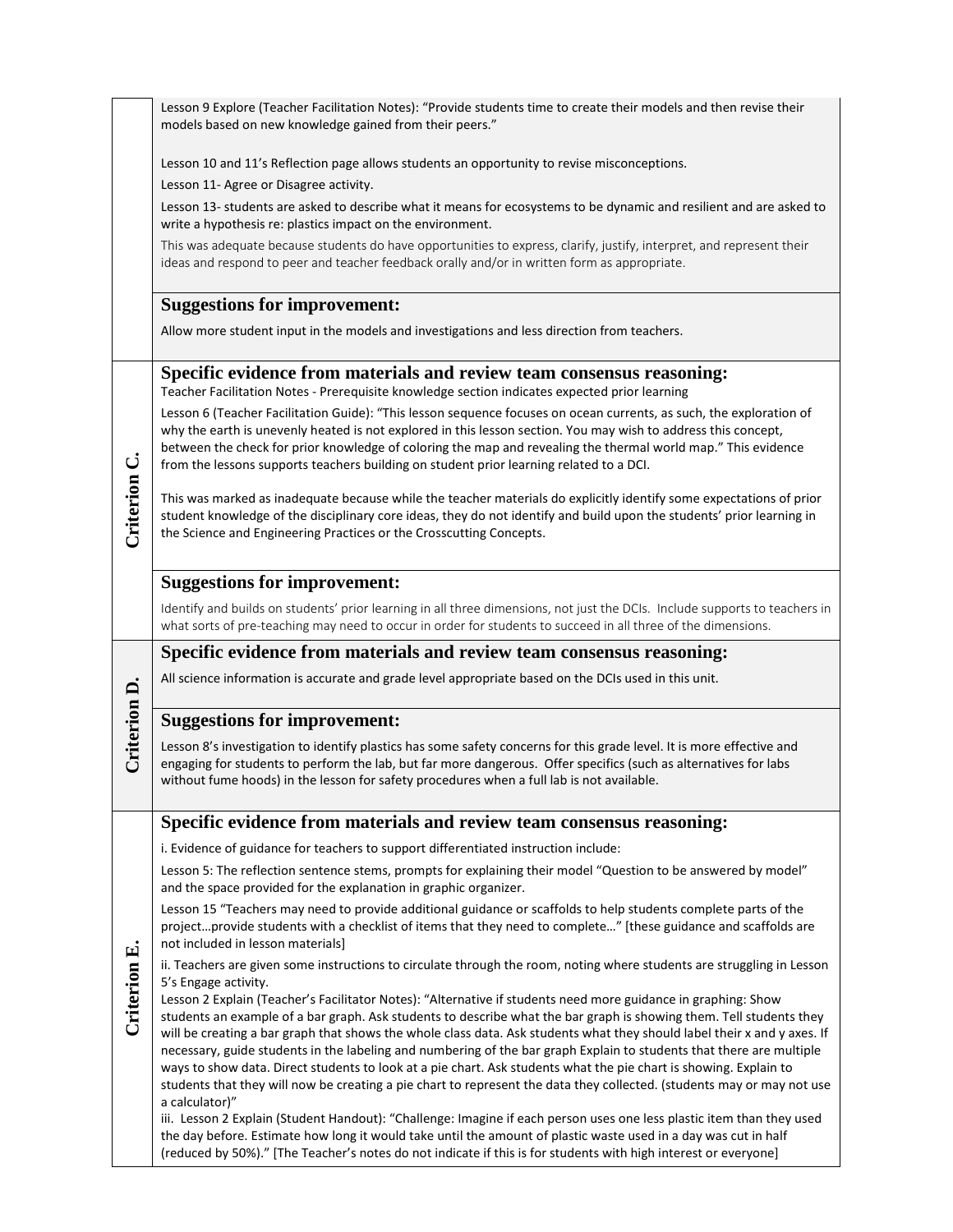|              | Lesson 9 Explore (Teacher Facilitation Notes): "Provide students time to create their models and then revise their<br>models based on new knowledge gained from their peers."                                                                                                                                                                                                                                                                                                                                                                                                                                                                                                                                                           |
|--------------|-----------------------------------------------------------------------------------------------------------------------------------------------------------------------------------------------------------------------------------------------------------------------------------------------------------------------------------------------------------------------------------------------------------------------------------------------------------------------------------------------------------------------------------------------------------------------------------------------------------------------------------------------------------------------------------------------------------------------------------------|
|              | Lesson 10 and 11's Reflection page allows students an opportunity to revise misconceptions.                                                                                                                                                                                                                                                                                                                                                                                                                                                                                                                                                                                                                                             |
|              | Lesson 11- Agree or Disagree activity.                                                                                                                                                                                                                                                                                                                                                                                                                                                                                                                                                                                                                                                                                                  |
|              | Lesson 13- students are asked to describe what it means for ecosystems to be dynamic and resilient and are asked to<br>write a hypothesis re: plastics impact on the environment.                                                                                                                                                                                                                                                                                                                                                                                                                                                                                                                                                       |
|              | This was adequate because students do have opportunities to express, clarify, justify, interpret, and represent their<br>ideas and respond to peer and teacher feedback orally and/or in written form as appropriate.                                                                                                                                                                                                                                                                                                                                                                                                                                                                                                                   |
|              | <b>Suggestions for improvement:</b>                                                                                                                                                                                                                                                                                                                                                                                                                                                                                                                                                                                                                                                                                                     |
|              | Allow more student input in the models and investigations and less direction from teachers.                                                                                                                                                                                                                                                                                                                                                                                                                                                                                                                                                                                                                                             |
|              | Specific evidence from materials and review team consensus reasoning:<br>Teacher Facilitation Notes - Prerequisite knowledge section indicates expected prior learning                                                                                                                                                                                                                                                                                                                                                                                                                                                                                                                                                                  |
|              | Lesson 6 (Teacher Facilitation Guide): "This lesson sequence focuses on ocean currents, as such, the exploration of<br>why the earth is unevenly heated is not explored in this lesson section. You may wish to address this concept,<br>between the check for prior knowledge of coloring the map and revealing the thermal world map." This evidence<br>from the lessons supports teachers building on student prior learning related to a DCI.                                                                                                                                                                                                                                                                                       |
| Criterion C. | This was marked as inadequate because while the teacher materials do explicitly identify some expectations of prior<br>student knowledge of the disciplinary core ideas, they do not identify and build upon the students' prior learning in<br>the Science and Engineering Practices or the Crosscutting Concepts.                                                                                                                                                                                                                                                                                                                                                                                                                     |
|              | <b>Suggestions for improvement:</b>                                                                                                                                                                                                                                                                                                                                                                                                                                                                                                                                                                                                                                                                                                     |
|              | Identify and builds on students' prior learning in all three dimensions, not just the DCIs. Include supports to teachers in<br>what sorts of pre-teaching may need to occur in order for students to succeed in all three of the dimensions.                                                                                                                                                                                                                                                                                                                                                                                                                                                                                            |
|              | Specific evidence from materials and review team consensus reasoning:                                                                                                                                                                                                                                                                                                                                                                                                                                                                                                                                                                                                                                                                   |
|              | All science information is accurate and grade level appropriate based on the DCIs used in this unit.                                                                                                                                                                                                                                                                                                                                                                                                                                                                                                                                                                                                                                    |
|              | <b>Suggestions for improvement:</b>                                                                                                                                                                                                                                                                                                                                                                                                                                                                                                                                                                                                                                                                                                     |
| Criterion D. | Lesson 8's investigation to identify plastics has some safety concerns for this grade level. It is more effective and<br>engaging for students to perform the lab, but far more dangerous. Offer specifics (such as alternatives for labs<br>without fume hoods) in the lesson for safety procedures when a full lab is not available.                                                                                                                                                                                                                                                                                                                                                                                                  |
|              | Specific evidence from materials and review team consensus reasoning:                                                                                                                                                                                                                                                                                                                                                                                                                                                                                                                                                                                                                                                                   |
|              | i. Evidence of guidance for teachers to support differentiated instruction include:                                                                                                                                                                                                                                                                                                                                                                                                                                                                                                                                                                                                                                                     |
|              | Lesson 5: The reflection sentence stems, prompts for explaining their model "Question to be answered by model"<br>and the space provided for the explanation in graphic organizer.                                                                                                                                                                                                                                                                                                                                                                                                                                                                                                                                                      |
| Criterion E. | Lesson 15 "Teachers may need to provide additional guidance or scaffolds to help students complete parts of the<br>projectprovide students with a checklist of items that they need to complete" [these guidance and scaffolds are<br>not included in lesson materials]                                                                                                                                                                                                                                                                                                                                                                                                                                                                 |
|              | ii. Teachers are given some instructions to circulate through the room, noting where students are struggling in Lesson<br>5's Engage activity.                                                                                                                                                                                                                                                                                                                                                                                                                                                                                                                                                                                          |
|              | Lesson 2 Explain (Teacher's Facilitator Notes): "Alternative if students need more guidance in graphing: Show<br>students an example of a bar graph. Ask students to describe what the bar graph is showing them. Tell students they<br>will be creating a bar graph that shows the whole class data. Ask students what they should label their x and y axes. If<br>necessary, guide students in the labeling and numbering of the bar graph Explain to students that there are multiple<br>ways to show data. Direct students to look at a pie chart. Ask students what the pie chart is showing. Explain to<br>students that they will now be creating a pie chart to represent the data they collected. (students may or may not use |
|              | a calculator)"<br>iii. Lesson 2 Explain (Student Handout): "Challenge: Imagine if each person uses one less plastic item than they used<br>the day before. Estimate how long it would take until the amount of plastic waste used in a day was cut in half<br>(reduced by 50%)." [The Teacher's notes do not indicate if this is for students with high interest or everyone]                                                                                                                                                                                                                                                                                                                                                           |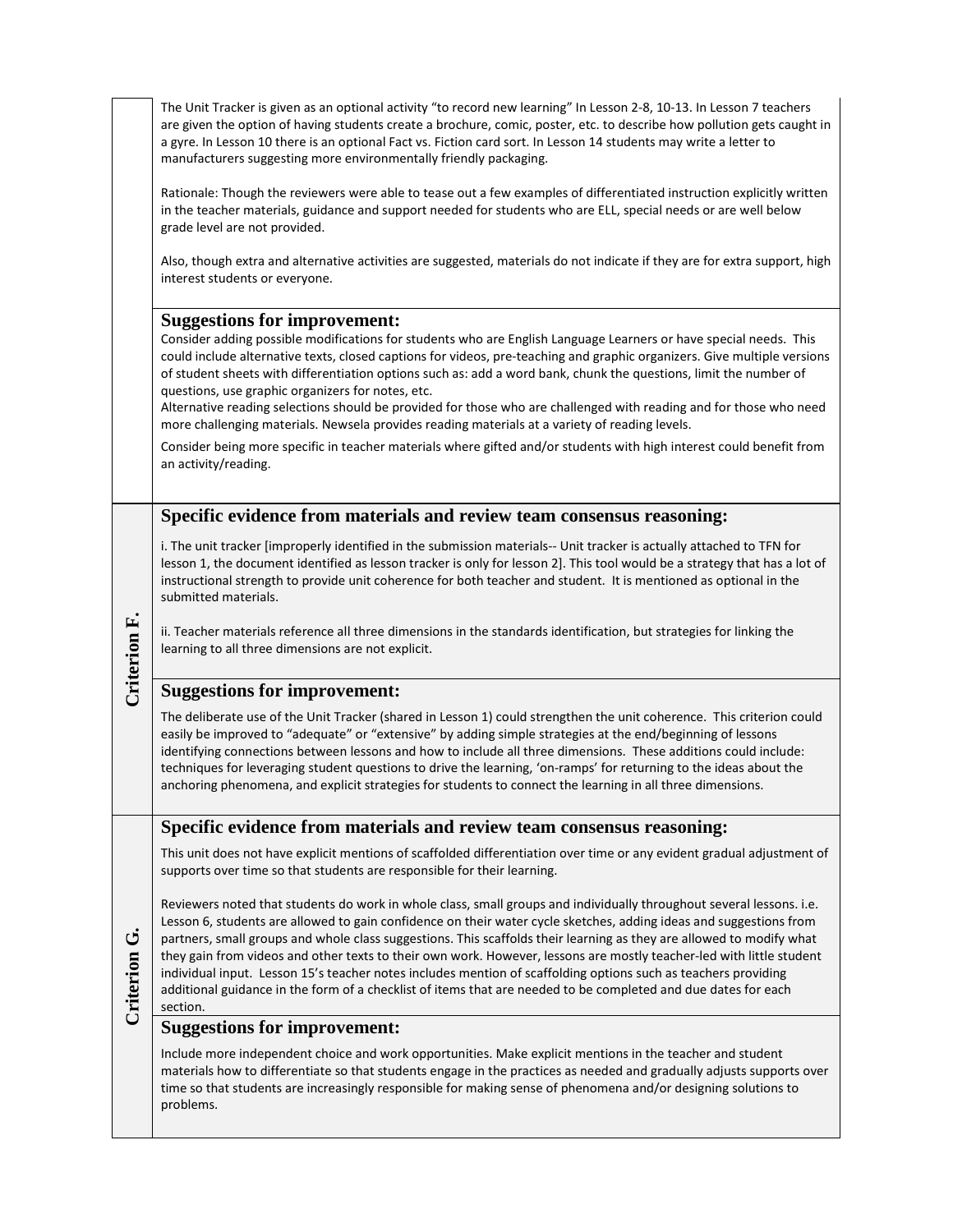**Specific evidence from materials and review team consensus reasoning:** i. The unit tracker [improperly identified in the submission materials-- Unit tracker is actually attached to TFN for lesson 1, the document identified as lesson tracker is only for lesson 2]. This tool would be a strategy that has a lot of instructional strength to provide unit coherence for both teacher and student. It is mentioned as optional in the submitted materials. The Unit Tracker is given as an optional activity "to record new learning" In Lesson 2-8, 10-13. In Lesson 7 teachers are given the option of having students create a brochure, comic, poster, etc. to describe how pollution gets caught in a gyre. In Lesson 10 there is an optional Fact vs. Fiction card sort. In Lesson 14 students may write a letter to manufacturers suggesting more environmentally friendly packaging. Rationale: Though the reviewers were able to tease out a few examples of differentiated instruction explicitly written in the teacher materials, guidance and support needed for students who are ELL, special needs or are well below grade level are not provided. Also, though extra and alternative activities are suggested, materials do not indicate if they are for extra support, high interest students or everyone. **Suggestions for improvement:** Consider adding possible modifications for students who are English Language Learners or have special needs. This could include alternative texts, closed captions for videos, pre-teaching and graphic organizers. Give multiple versions of student sheets with differentiation options such as: add a word bank, chunk the questions, limit the number of questions, use graphic organizers for notes, etc. Alternative reading selections should be provided for those who are challenged with reading and for those who need more challenging materials. Newsela provides reading materials at a variety of reading levels. Consider being more specific in teacher materials where gifted and/or students with high interest could benefit from an activity/reading.

ii. Teacher materials reference all three dimensions in the standards identification, but strategies for linking the learning to all three dimensions are not explicit.

## **Suggestions for improvement:**

**Criterion Criterion F.** 

**Criterion G.**

Criterion

ق

The deliberate use of the Unit Tracker (shared in Lesson 1) could strengthen the unit coherence. This criterion could easily be improved to "adequate" or "extensive" by adding simple strategies at the end/beginning of lessons identifying connections between lessons and how to include all three dimensions. These additions could include: techniques for leveraging student questions to drive the learning, 'on-ramps' for returning to the ideas about the anchoring phenomena, and explicit strategies for students to connect the learning in all three dimensions.

**Specific evidence from materials and review team consensus reasoning:**

This unit does not have explicit mentions of scaffolded differentiation over time or any evident gradual adjustment of supports over time so that students are responsible for their learning.

Reviewers noted that students do work in whole class, small groups and individually throughout several lessons. i.e. Lesson 6, students are allowed to gain confidence on their water cycle sketches, adding ideas and suggestions from partners, small groups and whole class suggestions. This scaffolds their learning as they are allowed to modify what they gain from videos and other texts to their own work. However, lessons are mostly teacher-led with little student individual input. Lesson 15's teacher notes includes mention of scaffolding options such as teachers providing additional guidance in the form of a checklist of items that are needed to be completed and due dates for each section.

## **Suggestions for improvement:**

Include more independent choice and work opportunities. Make explicit mentions in the teacher and student materials how to differentiate so that students engage in the practices as needed and gradually adjusts supports over time so that students are increasingly responsible for making sense of phenomena and/or designing solutions to problems.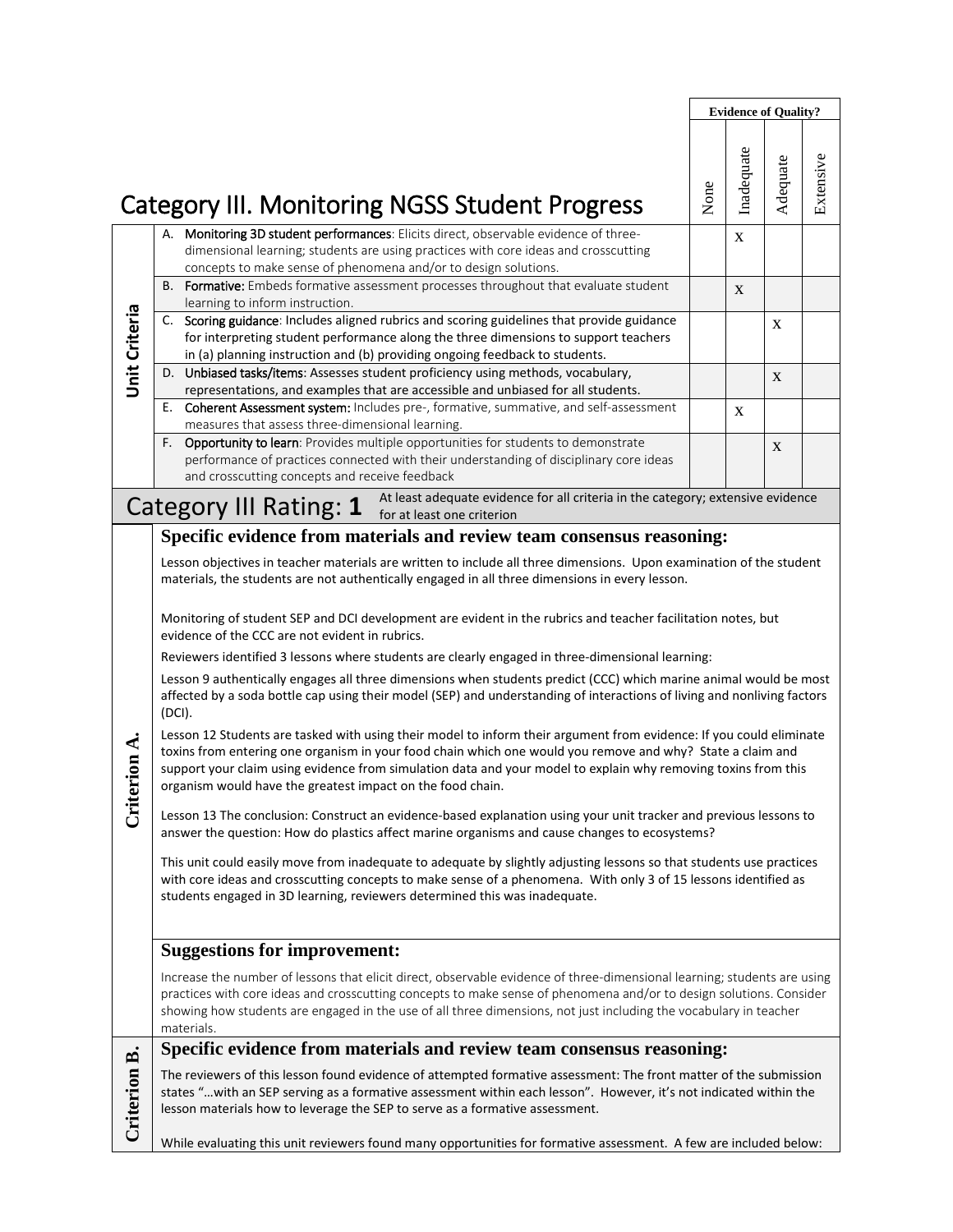|                      |                                                                                                                                                                                                                                                                                                                                                                                                                                                                                                                                                                                                                                                                                                                                                                                                                                                                                                                                                                                                                                                                                                                                                                                                                                                                                                                                                                                                                                                                                                                                                                                                                                                                                                                                                                                                     |      |             | <b>Evidence of Quality?</b> |           |
|----------------------|-----------------------------------------------------------------------------------------------------------------------------------------------------------------------------------------------------------------------------------------------------------------------------------------------------------------------------------------------------------------------------------------------------------------------------------------------------------------------------------------------------------------------------------------------------------------------------------------------------------------------------------------------------------------------------------------------------------------------------------------------------------------------------------------------------------------------------------------------------------------------------------------------------------------------------------------------------------------------------------------------------------------------------------------------------------------------------------------------------------------------------------------------------------------------------------------------------------------------------------------------------------------------------------------------------------------------------------------------------------------------------------------------------------------------------------------------------------------------------------------------------------------------------------------------------------------------------------------------------------------------------------------------------------------------------------------------------------------------------------------------------------------------------------------------------|------|-------------|-----------------------------|-----------|
|                      | <b>Category III. Monitoring NGSS Student Progress</b>                                                                                                                                                                                                                                                                                                                                                                                                                                                                                                                                                                                                                                                                                                                                                                                                                                                                                                                                                                                                                                                                                                                                                                                                                                                                                                                                                                                                                                                                                                                                                                                                                                                                                                                                               | None | Inadequate  | Adequate                    | Extensive |
|                      | A. Monitoring 3D student performances: Elicits direct, observable evidence of three-<br>dimensional learning; students are using practices with core ideas and crosscutting<br>concepts to make sense of phenomena and/or to design solutions.                                                                                                                                                                                                                                                                                                                                                                                                                                                                                                                                                                                                                                                                                                                                                                                                                                                                                                                                                                                                                                                                                                                                                                                                                                                                                                                                                                                                                                                                                                                                                      |      | $\mathbf X$ |                             |           |
|                      | B. Formative: Embeds formative assessment processes throughout that evaluate student<br>learning to inform instruction.                                                                                                                                                                                                                                                                                                                                                                                                                                                                                                                                                                                                                                                                                                                                                                                                                                                                                                                                                                                                                                                                                                                                                                                                                                                                                                                                                                                                                                                                                                                                                                                                                                                                             |      | X           |                             |           |
| <b>Unit Criteria</b> | C. Scoring guidance: Includes aligned rubrics and scoring guidelines that provide guidance<br>for interpreting student performance along the three dimensions to support teachers<br>in (a) planning instruction and (b) providing ongoing feedback to students.                                                                                                                                                                                                                                                                                                                                                                                                                                                                                                                                                                                                                                                                                                                                                                                                                                                                                                                                                                                                                                                                                                                                                                                                                                                                                                                                                                                                                                                                                                                                    |      |             | X                           |           |
|                      | D. Unbiased tasks/items: Assesses student proficiency using methods, vocabulary,<br>representations, and examples that are accessible and unbiased for all students.                                                                                                                                                                                                                                                                                                                                                                                                                                                                                                                                                                                                                                                                                                                                                                                                                                                                                                                                                                                                                                                                                                                                                                                                                                                                                                                                                                                                                                                                                                                                                                                                                                |      |             | X                           |           |
|                      | Coherent Assessment system: Includes pre-, formative, summative, and self-assessment<br>Е.<br>measures that assess three-dimensional learning.                                                                                                                                                                                                                                                                                                                                                                                                                                                                                                                                                                                                                                                                                                                                                                                                                                                                                                                                                                                                                                                                                                                                                                                                                                                                                                                                                                                                                                                                                                                                                                                                                                                      |      | X           |                             |           |
|                      | Opportunity to learn: Provides multiple opportunities for students to demonstrate<br>F.<br>performance of practices connected with their understanding of disciplinary core ideas<br>and crosscutting concepts and receive feedback                                                                                                                                                                                                                                                                                                                                                                                                                                                                                                                                                                                                                                                                                                                                                                                                                                                                                                                                                                                                                                                                                                                                                                                                                                                                                                                                                                                                                                                                                                                                                                 |      |             | X                           |           |
|                      | At least adequate evidence for all criteria in the category; extensive evidence<br>Category III Rating: 1 for at least one criterion                                                                                                                                                                                                                                                                                                                                                                                                                                                                                                                                                                                                                                                                                                                                                                                                                                                                                                                                                                                                                                                                                                                                                                                                                                                                                                                                                                                                                                                                                                                                                                                                                                                                |      |             |                             |           |
| erion A.<br>Ğ        | Specific evidence from materials and review team consensus reasoning:<br>Lesson objectives in teacher materials are written to include all three dimensions. Upon examination of the student<br>materials, the students are not authentically engaged in all three dimensions in every lesson.<br>Monitoring of student SEP and DCI development are evident in the rubrics and teacher facilitation notes, but<br>evidence of the CCC are not evident in rubrics.<br>Reviewers identified 3 lessons where students are clearly engaged in three-dimensional learning:<br>Lesson 9 authentically engages all three dimensions when students predict (CCC) which marine animal would be most<br>affected by a soda bottle cap using their model (SEP) and understanding of interactions of living and nonliving factors<br>(DCI).<br>Lesson 12 Students are tasked with using their model to inform their argument from evidence: If you could eliminate<br>toxins from entering one organism in your food chain which one would you remove and why? State a claim and<br>support your claim using evidence from simulation data and your model to explain why removing toxins from this<br>organism would have the greatest impact on the food chain.<br>Lesson 13 The conclusion: Construct an evidence-based explanation using your unit tracker and previous lessons to<br>answer the question: How do plastics affect marine organisms and cause changes to ecosystems?<br>This unit could easily move from inadequate to adequate by slightly adjusting lessons so that students use practices<br>with core ideas and crosscutting concepts to make sense of a phenomena. With only 3 of 15 lessons identified as<br>students engaged in 3D learning, reviewers determined this was inadequate. |      |             |                             |           |
|                      | <b>Suggestions for improvement:</b><br>Increase the number of lessons that elicit direct, observable evidence of three-dimensional learning; students are using<br>practices with core ideas and crosscutting concepts to make sense of phenomena and/or to design solutions. Consider<br>showing how students are engaged in the use of all three dimensions, not just including the vocabulary in teacher<br>materials.                                                                                                                                                                                                                                                                                                                                                                                                                                                                                                                                                                                                                                                                                                                                                                                                                                                                                                                                                                                                                                                                                                                                                                                                                                                                                                                                                                           |      |             |                             |           |
|                      | Specific evidence from materials and review team consensus reasoning:                                                                                                                                                                                                                                                                                                                                                                                                                                                                                                                                                                                                                                                                                                                                                                                                                                                                                                                                                                                                                                                                                                                                                                                                                                                                                                                                                                                                                                                                                                                                                                                                                                                                                                                               |      |             |                             |           |
| Criterion B.         | The reviewers of this lesson found evidence of attempted formative assessment: The front matter of the submission<br>states "with an SEP serving as a formative assessment within each lesson". However, it's not indicated within the<br>lesson materials how to leverage the SEP to serve as a formative assessment.<br>While evaluating this unit reviewers found many opportunities for formative assessment. A few are included below:                                                                                                                                                                                                                                                                                                                                                                                                                                                                                                                                                                                                                                                                                                                                                                                                                                                                                                                                                                                                                                                                                                                                                                                                                                                                                                                                                         |      |             |                             |           |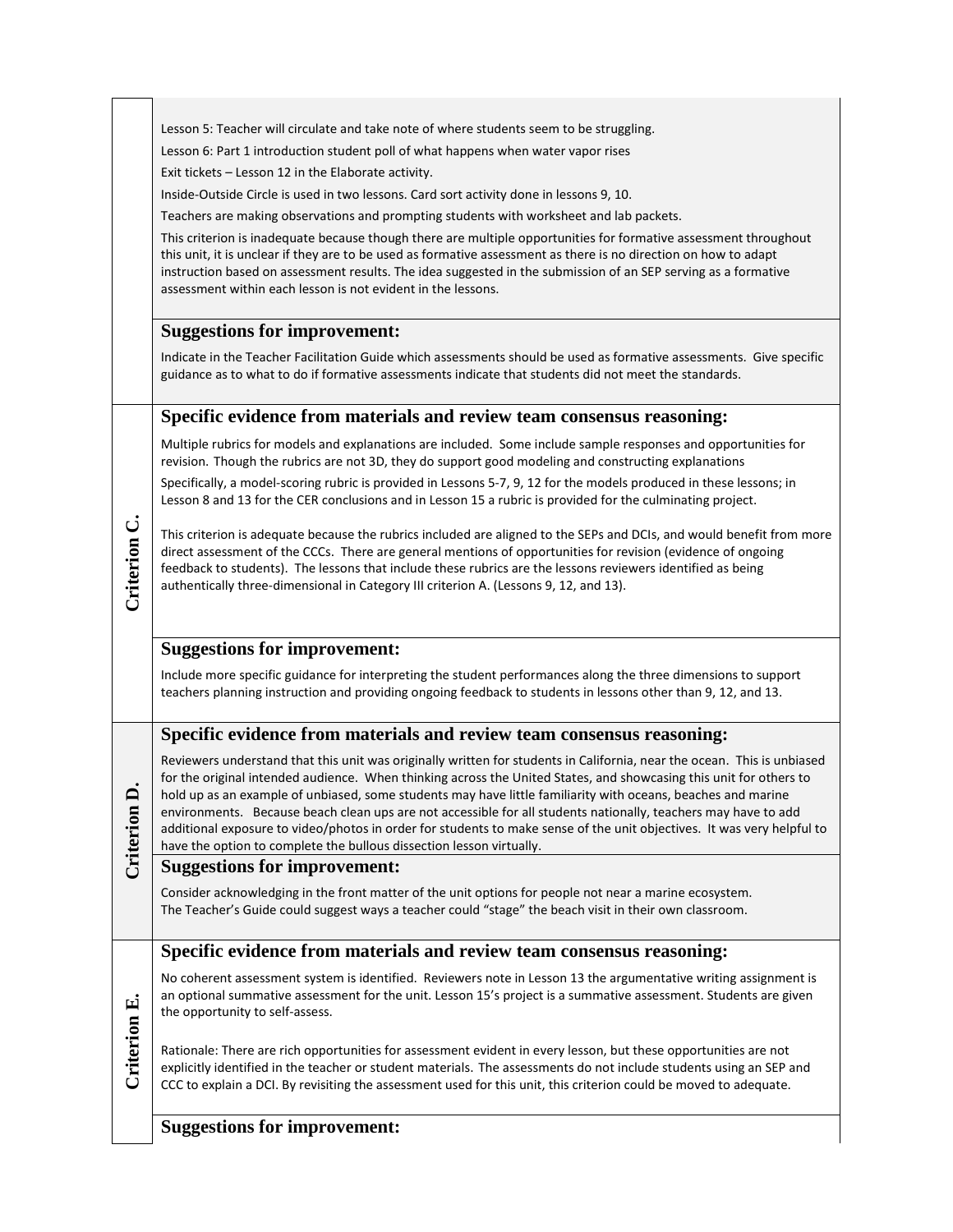|              | Lesson 5: Teacher will circulate and take note of where students seem to be struggling.<br>Lesson 6: Part 1 introduction student poll of what happens when water vapor rises<br>Exit tickets - Lesson 12 in the Elaborate activity.<br>Inside-Outside Circle is used in two lessons. Card sort activity done in lessons 9, 10.<br>Teachers are making observations and prompting students with worksheet and lab packets.<br>This criterion is inadequate because though there are multiple opportunities for formative assessment throughout<br>this unit, it is unclear if they are to be used as formative assessment as there is no direction on how to adapt<br>instruction based on assessment results. The idea suggested in the submission of an SEP serving as a formative<br>assessment within each lesson is not evident in the lessons. |
|--------------|-----------------------------------------------------------------------------------------------------------------------------------------------------------------------------------------------------------------------------------------------------------------------------------------------------------------------------------------------------------------------------------------------------------------------------------------------------------------------------------------------------------------------------------------------------------------------------------------------------------------------------------------------------------------------------------------------------------------------------------------------------------------------------------------------------------------------------------------------------|
|              | <b>Suggestions for improvement:</b>                                                                                                                                                                                                                                                                                                                                                                                                                                                                                                                                                                                                                                                                                                                                                                                                                 |
|              | Indicate in the Teacher Facilitation Guide which assessments should be used as formative assessments. Give specific<br>guidance as to what to do if formative assessments indicate that students did not meet the standards.                                                                                                                                                                                                                                                                                                                                                                                                                                                                                                                                                                                                                        |
|              | Specific evidence from materials and review team consensus reasoning:                                                                                                                                                                                                                                                                                                                                                                                                                                                                                                                                                                                                                                                                                                                                                                               |
|              | Multiple rubrics for models and explanations are included. Some include sample responses and opportunities for<br>revision. Though the rubrics are not 3D, they do support good modeling and constructing explanations                                                                                                                                                                                                                                                                                                                                                                                                                                                                                                                                                                                                                              |
|              | Specifically, a model-scoring rubric is provided in Lessons 5-7, 9, 12 for the models produced in these lessons; in<br>Lesson 8 and 13 for the CER conclusions and in Lesson 15 a rubric is provided for the culminating project.                                                                                                                                                                                                                                                                                                                                                                                                                                                                                                                                                                                                                   |
| Criterion C. | This criterion is adequate because the rubrics included are aligned to the SEPs and DCIs, and would benefit from more<br>direct assessment of the CCCs. There are general mentions of opportunities for revision (evidence of ongoing<br>feedback to students). The lessons that include these rubrics are the lessons reviewers identified as being<br>authentically three-dimensional in Category III criterion A. (Lessons 9, 12, and 13).                                                                                                                                                                                                                                                                                                                                                                                                       |
|              | <b>Suggestions for improvement:</b>                                                                                                                                                                                                                                                                                                                                                                                                                                                                                                                                                                                                                                                                                                                                                                                                                 |
|              | Include more specific guidance for interpreting the student performances along the three dimensions to support<br>teachers planning instruction and providing ongoing feedback to students in lessons other than 9, 12, and 13.                                                                                                                                                                                                                                                                                                                                                                                                                                                                                                                                                                                                                     |
|              | Specific evidence from materials and review team consensus reasoning:                                                                                                                                                                                                                                                                                                                                                                                                                                                                                                                                                                                                                                                                                                                                                                               |
| Criterion D  | Reviewers understand that this unit was originally written for students in California, near the ocean. This is unbiased<br>for the original intended audience. When thinking across the United States, and showcasing this unit for others to<br>hold up as an example of unbiased, some students may have little familiarity with oceans, beaches and marine<br>environments. Because beach clean ups are not accessible for all students nationally, teachers may have to add<br>additional exposure to video/photos in order for students to make sense of the unit objectives. It was very helpful to<br>have the option to complete the bullous dissection lesson virtually.                                                                                                                                                                   |
|              | <b>Suggestions for improvement:</b>                                                                                                                                                                                                                                                                                                                                                                                                                                                                                                                                                                                                                                                                                                                                                                                                                 |
|              | Consider acknowledging in the front matter of the unit options for people not near a marine ecosystem.<br>The Teacher's Guide could suggest ways a teacher could "stage" the beach visit in their own classroom.                                                                                                                                                                                                                                                                                                                                                                                                                                                                                                                                                                                                                                    |
|              | Specific evidence from materials and review team consensus reasoning:                                                                                                                                                                                                                                                                                                                                                                                                                                                                                                                                                                                                                                                                                                                                                                               |
| Criterion E. | No coherent assessment system is identified. Reviewers note in Lesson 13 the argumentative writing assignment is<br>an optional summative assessment for the unit. Lesson 15's project is a summative assessment. Students are given<br>the opportunity to self-assess.                                                                                                                                                                                                                                                                                                                                                                                                                                                                                                                                                                             |
|              | Rationale: There are rich opportunities for assessment evident in every lesson, but these opportunities are not<br>explicitly identified in the teacher or student materials. The assessments do not include students using an SEP and<br>CCC to explain a DCI. By revisiting the assessment used for this unit, this criterion could be moved to adequate.                                                                                                                                                                                                                                                                                                                                                                                                                                                                                         |
|              | <b>Suggestions for improvement:</b>                                                                                                                                                                                                                                                                                                                                                                                                                                                                                                                                                                                                                                                                                                                                                                                                                 |

 $\overline{\phantom{a}}$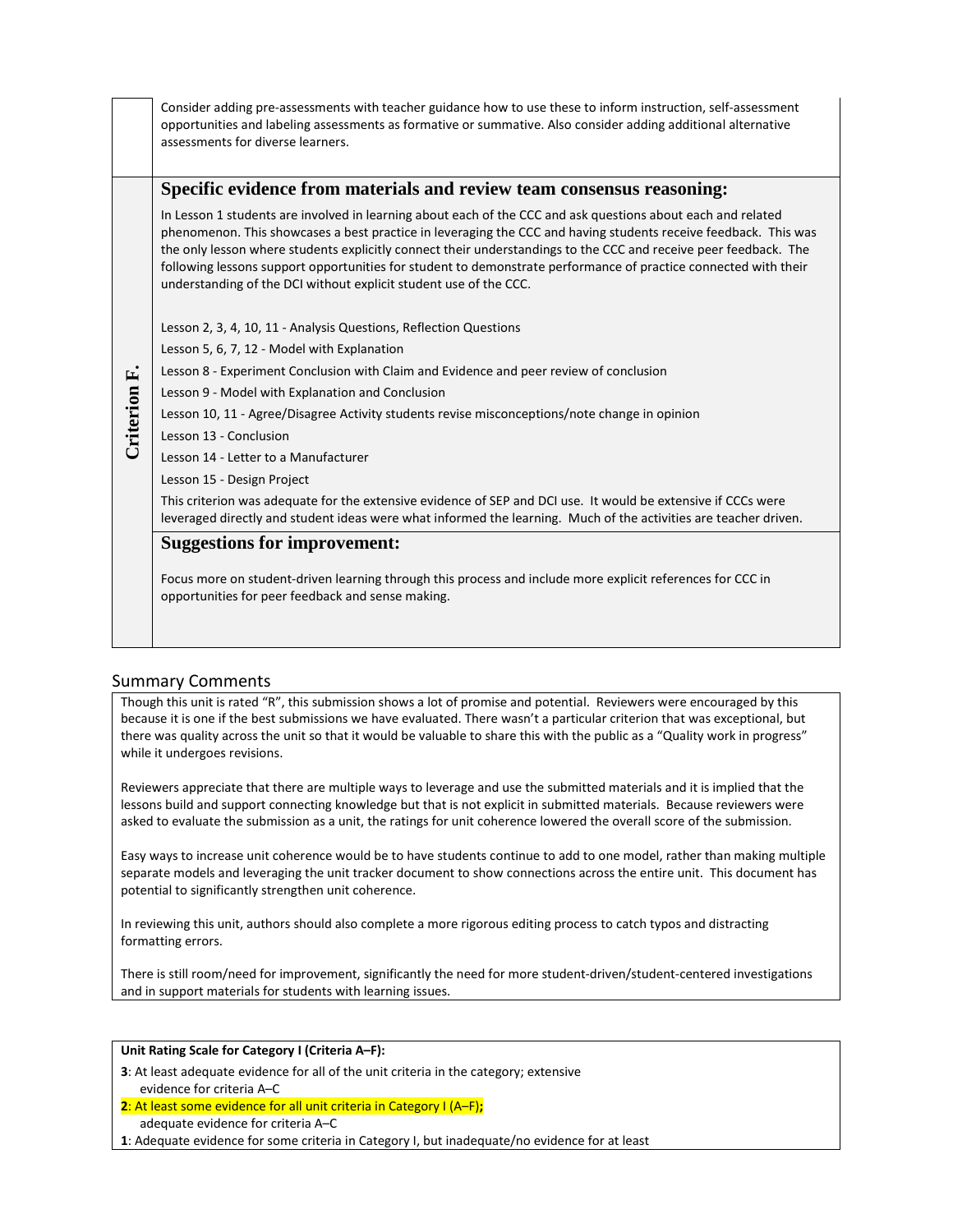|              | Consider adding pre-assessments with teacher guidance how to use these to inform instruction, self-assessment<br>opportunities and labeling assessments as formative or summative. Also consider adding additional alternative<br>assessments for diverse learners.                                                                                                                                                                                                                                                                         |
|--------------|---------------------------------------------------------------------------------------------------------------------------------------------------------------------------------------------------------------------------------------------------------------------------------------------------------------------------------------------------------------------------------------------------------------------------------------------------------------------------------------------------------------------------------------------|
|              | Specific evidence from materials and review team consensus reasoning:                                                                                                                                                                                                                                                                                                                                                                                                                                                                       |
|              | In Lesson 1 students are involved in learning about each of the CCC and ask questions about each and related<br>phenomenon. This showcases a best practice in leveraging the CCC and having students receive feedback. This was<br>the only lesson where students explicitly connect their understandings to the CCC and receive peer feedback. The<br>following lessons support opportunities for student to demonstrate performance of practice connected with their<br>understanding of the DCI without explicit student use of the CCC. |
|              | Lesson 2, 3, 4, 10, 11 - Analysis Questions, Reflection Questions                                                                                                                                                                                                                                                                                                                                                                                                                                                                           |
|              | Lesson 5, 6, 7, 12 - Model with Explanation                                                                                                                                                                                                                                                                                                                                                                                                                                                                                                 |
|              | Lesson 8 - Experiment Conclusion with Claim and Evidence and peer review of conclusion                                                                                                                                                                                                                                                                                                                                                                                                                                                      |
|              | Lesson 9 - Model with Explanation and Conclusion                                                                                                                                                                                                                                                                                                                                                                                                                                                                                            |
|              | Lesson 10, 11 - Agree/Disagree Activity students revise misconceptions/note change in opinion                                                                                                                                                                                                                                                                                                                                                                                                                                               |
| Criterion F. | Lesson 13 - Conclusion                                                                                                                                                                                                                                                                                                                                                                                                                                                                                                                      |
|              | Lesson 14 - Letter to a Manufacturer                                                                                                                                                                                                                                                                                                                                                                                                                                                                                                        |
|              | Lesson 15 - Design Project                                                                                                                                                                                                                                                                                                                                                                                                                                                                                                                  |
|              | This criterion was adequate for the extensive evidence of SEP and DCI use. It would be extensive if CCCs were<br>leveraged directly and student ideas were what informed the learning. Much of the activities are teacher driven.                                                                                                                                                                                                                                                                                                           |
|              | <b>Suggestions for improvement:</b><br>Focus more on student-driven learning through this process and include more explicit references for CCC in                                                                                                                                                                                                                                                                                                                                                                                           |

## Summary Comments

Though this unit is rated "R", this submission shows a lot of promise and potential. Reviewers were encouraged by this because it is one if the best submissions we have evaluated. There wasn't a particular criterion that was exceptional, but there was quality across the unit so that it would be valuable to share this with the public as a "Quality work in progress" while it undergoes revisions.

Reviewers appreciate that there are multiple ways to leverage and use the submitted materials and it is implied that the lessons build and support connecting knowledge but that is not explicit in submitted materials. Because reviewers were asked to evaluate the submission as a unit, the ratings for unit coherence lowered the overall score of the submission.

Easy ways to increase unit coherence would be to have students continue to add to one model, rather than making multiple separate models and leveraging the unit tracker document to show connections across the entire unit. This document has potential to significantly strengthen unit coherence.

In reviewing this unit, authors should also complete a more rigorous editing process to catch typos and distracting formatting errors.

There is still room/need for improvement, significantly the need for more student-driven/student-centered investigations and in support materials for students with learning issues.

#### **Unit Rating Scale for Category I (Criteria A–F):**

- **3**: At least adequate evidence for all of the unit criteria in the category; extensive evidence for criteria A–C
- **2**: At least some evidence for all unit criteria in Category I (A–F)**;**

opportunities for peer feedback and sense making.

adequate evidence for criteria A–C

**1**: Adequate evidence for some criteria in Category I, but inadequate/no evidence for at least